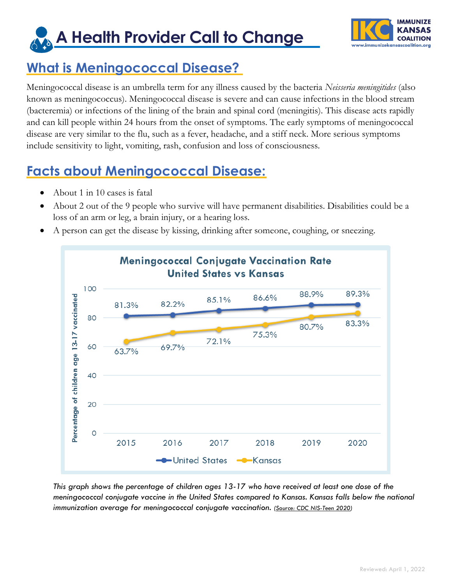**A Health Provider Call to Change**



#### **What is Meningococcal Disease?**

Meningococcal disease is an umbrella term for any illness caused by the bacteria *Neisseria meningitides* (also known as meningococcus). Meningococcal disease is severe and can cause infections in the blood stream (bacteremia) or infections of the lining of the brain and spinal cord (meningitis). This disease acts rapidly and can kill people within 24 hours from the onset of symptoms. The early symptoms of meningococcal disease are very similar to the flu, such as a fever, headache, and a stiff neck. More serious symptoms include sensitivity to light, vomiting, rash, confusion and loss of consciousness.

# **Facts about Meningococcal Disease:**

- About 1 in 10 cases is fatal
- About 2 out of the 9 people who survive will have permanent disabilities. Disabilities could be a loss of an arm or leg, a brain injury, or a hearing loss.
- A person can get the disease by kissing, drinking after someone, coughing, or sneezing.



*This graph shows the percentage of children ages 13-17 who have received at least one dose of the meningococcal conjugate vaccine in the United States compared to Kansas. Kansas falls below the national immunization average for meningococcal conjugate vaccination. (Source: [CDC NIS-Teen](https://www.cdc.gov/vaccines/imz-managers/coverage/teenvaxview/data-reports/) 2020)*